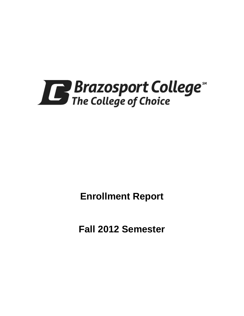

**Enrollment Report**

**Fall 2012 Semester**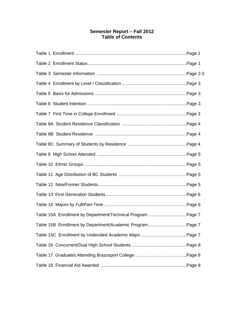# **Semester Report – Fall 2012 Table of Contents**

| Table 15B Enrollment by Department/Academic ProgramPage 7 |  |
|-----------------------------------------------------------|--|
|                                                           |  |
|                                                           |  |
|                                                           |  |
|                                                           |  |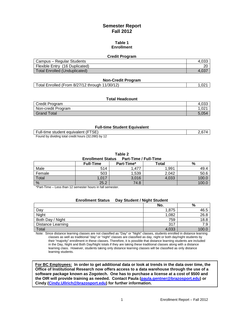# **Semester Report Fall 2012**

### **Table 1 Enrollment**

### **Credit Program**

| Campus – Regular Students      | 4.03. |
|--------------------------------|-------|
| Flexible Entry (16 Duplicated) | or    |
| Total Enrolled (Unduplicated)  |       |

### **Non-Credit Program**

| Total Enrolled (From 8/27/12 through 11/30/12) | 0.021 |
|------------------------------------------------|-------|
|------------------------------------------------|-------|

### **Total Headcount**

| Credit Program     | 4,03c            |
|--------------------|------------------|
| Non-credit Program | .02 <sub>1</sub> |
| Grand Total        | 5.054            |

### **Full-time Student Equivalent**

| Full-time student equivalent (FTSE)                 | 2.674 |
|-----------------------------------------------------|-------|
| Found by dividing total credit hours (32,090) by 12 |       |

**Table 2**

| <b>Enrollment Status</b><br><b>Part-Time / Full-Time</b> |                  |                   |       |  |  |
|----------------------------------------------------------|------------------|-------------------|-------|--|--|
|                                                          | <b>Full-Time</b> | <b>Part-Time*</b> | Total |  |  |
|                                                          |                  |                   | 001 ه |  |  |

| Male          | 514  | ,477  | 1,991 | 49.4  |
|---------------|------|-------|-------|-------|
| Female        | 503  | ,539  | 2.042 | 50.6  |
| Total         | ,017 | 3,016 | 4,033 | 100.0 |
| $\frac{0}{0}$ | 25.2 | 74.8  |       | 100.0 |

\*Part-Time – Less than 12 semester hours in fall semester.

| Day Student / Night Student<br><b>Enrollment Status</b> |       |      |  |
|---------------------------------------------------------|-------|------|--|
|                                                         | No.   | %    |  |
| Day                                                     | 1.875 | 46.5 |  |
| Night                                                   | 1,082 | 26.8 |  |
| Both Day / Night                                        | 759   | 18.8 |  |
| <b>Distance Learning</b>                                | 317   | 7.9  |  |
| Total                                                   | 4,033 |      |  |

Note: Since distance learning classes are not classified as "Day" or "Night" classes, students enrolled in distance learning classes as well as traditional "day" or "night" classes are classified as day, night or both day/night students by their "majority" enrollment in these classes. Therefore, it is possible that distance learning students are included in the Day, Night and Both Day/Night totals if they are taking these traditional classes along with a distance learning class. However, students taking only distance learning classes will be classified as only distance learning students.

**For BC Employees: In order to get additional data or look at trends in the data over time, the Office of Institutional Research now offers access to a data warehouse through the use of a software package known as Zogotech. One has to purchase a license at a cost of \$500 and the OIR will provide training as needed. Contact Paula [\(paula.gentner@brazosport.edu\)](mailto:paula.gentner@brazosport.edu) or Cindy [\(Cindy.Ullrich@brazosport.edu\)](mailto:Cindy.Ullrich@brazosport.edu) for further information.**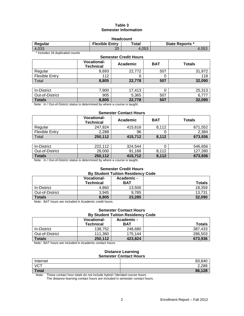### **Table 3 Semester Information**

| <b>Headcount</b> |                       |       |                        |  |
|------------------|-----------------------|-------|------------------------|--|
| Regular          | <b>Flexible Entry</b> | Total | <b>State Reports *</b> |  |
| 4,033            | 20                    | 4.053 | 4,053                  |  |

\* Includes 16 duplicated counts

| <b>Semester Credit Hours</b> |                                        |          |            |               |  |
|------------------------------|----------------------------------------|----------|------------|---------------|--|
|                              | <b>Vocational-</b><br><b>Technical</b> | Academic | <b>BAT</b> | <b>Totals</b> |  |
| Regular                      | 8,693                                  | 22,772   | 507        | 31,972        |  |
| <b>Flexible Entry</b>        | 112                                    | 6        | O          | 118           |  |
| Total                        | 8,805                                  | 22,778   | 507        | 32,090        |  |
|                              |                                        |          |            |               |  |
| In-District                  | 7,900                                  | 17,413   |            | 25,313        |  |
| Out-of-District              | 905                                    | 5,365    | 507        | 6,77          |  |

#### **Totals 8,805 22,778 507 32,090** Note: In / Out-of-District status is determined by where a course is taught.

### **Semester Contact Hours**

|                | <b>Vocational-</b><br>Technical | Academic | BAT   | Totals  |
|----------------|---------------------------------|----------|-------|---------|
| Regular        | 247.824                         | 415.616  | 8,112 | 671.552 |
| Flexible Entry | 2.288                           | 96       |       | 2,384   |
| Total          | 250,112                         | 415,712  | 8,112 | 673,936 |

| In-District     | 222.112<br><i>___</i> | 324.544    |                     | 546.656 |
|-----------------|-----------------------|------------|---------------------|---------|
| Out-of-District | 28,000                | 168<br>91. | 0.110<br>11 L<br>J. | 127.280 |
| <b>Totals</b>   | 250.112               | 415.712    | 8,112               | 673,936 |

Note: In / Out-of-District status is determined by where a course is taught.

### **Semester Credit Hours By Student Tuition Residency Code**

|                 | <b>Vocational-</b> | Academic - |               |
|-----------------|--------------------|------------|---------------|
|                 | <b>Technical</b>   | <b>BAT</b> | <b>Totals</b> |
| In-District     | 4,860              | 13.500     | 18,359        |
| Out-of-District | 3.945              | 9.785      | 13.731        |
| <b>Totals</b>   | 8.805              | 23,285     | 32,090        |

Note: BAT hours are included in Academic credit hours.

### **Semester Contact Hours By Student Tuition Residency Code**

|                 | <b>Vocational-</b> | Academic - |               |
|-----------------|--------------------|------------|---------------|
|                 | <b>Technical</b>   | <b>BAT</b> | <b>Totals</b> |
| In-District     | 138.752            | 248.680    | 387.433       |
| Out-of-District | 111.360            | 175.144    | 286,503       |
| <b>Totals</b>   | 250,112            | 423.824    | 673,936       |

Note: BAT hours are included in Academic contact hours.

### **Distance Learning Semester Contact Hours**

|              | <u>sendered sentaut noard</u> |
|--------------|-------------------------------|
| Internet     | 83,840                        |
| <b>VCT</b>   | 2,288                         |
| <b>Total</b> | 86,128                        |

Note: These contact hour totals do not include hybrid / blended course hours.

The distance learning contact hours are included in semester contact hours.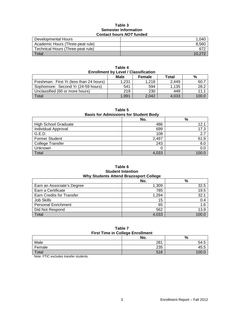### **Table 3 Semester Information Contact hours** *NOT* **funded**

| Developmental Hours               | 1.040  |
|-----------------------------------|--------|
| Academic Hours (Three-peat rule)  | 8.560  |
| Technical Hours (Three-peat rule) | -672   |
| $\tau$ <sub>otal</sub>            | 10.272 |

| .<br><b>Enrollment by Level / Classification</b> |       |       |       |       |  |  |  |
|--------------------------------------------------|-------|-------|-------|-------|--|--|--|
| Male<br>Total<br>%<br>Female                     |       |       |       |       |  |  |  |
| Freshman: First Yr (less than 24 hours)          | 1.231 | 1.218 | 2.449 | 60.7  |  |  |  |
| Sophomore: Second Yr (24-59 hours)               | 541   | 594   | 1.135 | 28.2  |  |  |  |
| Unclassified (60 or more hours)                  | 219   | 230   | 449   | 11.1  |  |  |  |
| <b>Total</b>                                     | 1.991 | 2.042 | 4.033 | 100.0 |  |  |  |

**Table 4**

**Table 5**

**Basis for Admissions for Student Body**

|                             | No.   | $\%$   |
|-----------------------------|-------|--------|
| <b>High School Graduate</b> | 486   | 12.1   |
| Individual Approval         | 699   | 17.3   |
| G.E.D.                      | 108   | 2.7    |
| <b>Former Student</b>       | 2,497 | 61.9   |
| <b>College Transfer</b>     | 243   | 6.0    |
| <b>Unknown</b>              |       | 0.0    |
| <b>Total</b>                | 4,033 | 100  በ |

### **Table 6 Student Intention Why Students Attend Brazosport College**

|                            | No.   | %     |
|----------------------------|-------|-------|
| Earn an Associate's Degree | 1,309 | 32.5  |
| Earn a Certificate         | 785   | 19.5  |
| Earn Credits for Transfer  | 1,294 | 32.1  |
| Job Skills                 | 15    | 0.4   |
| <b>Personal Enrichment</b> | 65    | 1.6   |
| Did Not Respond            | 562   | 13.9  |
| Total                      | 4,033 | 100.0 |

### **Table 7 First Time in College Enrollment**

|        | <b>THOL THIS IN SONGGO EMPIRITY</b> |      |
|--------|-------------------------------------|------|
|        | No.                                 | %    |
| Male   | 281                                 | 54.5 |
| Female | 235                                 | 45.5 |
| Total  | 516                                 |      |

Note: FTIC excludes transfer students.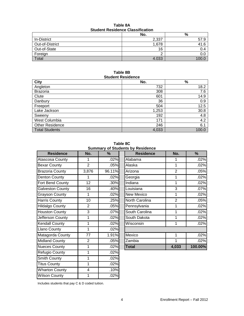| Tapic on<br><b>Student Residence Classification</b> |       |               |  |  |
|-----------------------------------------------------|-------|---------------|--|--|
|                                                     | No.   | %             |  |  |
| In-District                                         | 2,337 | 57.9          |  |  |
| Out-of-District                                     | 1,678 | 41.6          |  |  |
| Out-of-State                                        | 16    | $0.4^{\circ}$ |  |  |
| Foreign                                             |       | 0.0           |  |  |

Foreign 2 0.0 Total  $100.0$ 

# **Table 8A**

### **Table 8B Student Residence**

| City                   | No.   | $\%$  |
|------------------------|-------|-------|
| Angleton               | 732   | 18.2  |
| <b>Brazoria</b>        | 308   | 7.6   |
| Clute                  | 601   | 14.9  |
| Danbury                | 36    | 0.9   |
| Freeport               | 504   | 12.5  |
| Lake Jackson           | 1,253 | 30.8  |
| Sweeny                 | 192   | 4.8   |
| West Columbia          | 171   | 4.2   |
| <b>Other Residence</b> | 246   | 6.1   |
| <b>Total Students</b>  | 4,033 | 100.0 |

**Table 8C Summary of Students by Residence**

| <b>Residence</b>        | No.            | %      | <b>Residence</b>  | No.            | %       |
|-------------------------|----------------|--------|-------------------|----------------|---------|
| <b>Atascosa County</b>  | 1              | .02%   | Alabama           | 1              | .02%    |
| <b>Bexar County</b>     | $\overline{2}$ | .05%   | Alaska            | 1              | .02%    |
| <b>Brazoria County</b>  | 3,876          | 96.11% | Arizona           | $\overline{2}$ | .05%    |
| Denton County           | 1              | .02%   | Georgia           | 1              | .02%    |
| Fort Bend County        | 12             | .30%   | Indiana           | 1              | .02%    |
| <b>Galveston County</b> | 16             | .40%   | Louisiana         | 3              | .07%    |
| <b>Grayson County</b>   | 1              | .02%   | <b>New Mexico</b> | 1              | .02%    |
| <b>Harris County</b>    | 10             | .25%   | North Carolina    | $\overline{2}$ | .05%    |
| Hildalgo County         | $\overline{2}$ | .05%   | Pennsylvania      | 1              | .02%    |
| <b>Houston County</b>   | 3              | .07%   | South Carolina    | 1              | .02%    |
| Jefferson County        | 1              | .02%   | South Dakota      | 1              | .02%    |
| <b>Kendall County</b>   | 1              | .02%   | Wisconsin         | 1              | .02%    |
| <b>Llano County</b>     | 1              | .02%   |                   |                |         |
| Matagorda County        | 77             | 1.91%  | Mexico            | 1              | .02%    |
| <b>Midland County</b>   | $\overline{2}$ | .05%   | Zambia            | 1              | .02%    |
| <b>Nueces County</b>    | 1              | .02%   | <b>Total</b>      | 4,033          | 100.00% |
| Refugio County          | 1              | .02%   |                   |                |         |
| <b>Smith County</b>     | 1              | .02%   |                   |                |         |
| <b>Titus County</b>     | 1              | .02%   |                   |                |         |
| <b>Wharton County</b>   | 4              | .10%   |                   |                |         |
| <b>Wilson County</b>    | 1              | .02%   |                   |                |         |

| <u>oannary or otagonto by residence</u> |                |        |  |                  |                |         |  |
|-----------------------------------------|----------------|--------|--|------------------|----------------|---------|--|
| <b>Residence</b>                        | No.            | ℅      |  | <b>Residence</b> | No.            | %       |  |
| osa County                              |                | .02%   |  | Alabama          |                | .02%    |  |
| County                                  | $\overline{2}$ | .05%   |  | Alaska           | 1              | .02%    |  |
| ria County                              | 3,876          | 96.11% |  | Arizona          | $\overline{2}$ | .05%    |  |
| n County                                | 1              | .02%   |  | Georgia          | 1              | .02%    |  |
| <b>Bend County</b>                      | 12             | .30%   |  | Indiana          | 1              | .02%    |  |
| ston County                             | 16             | .40%   |  | Louisiana        | 3              | .07%    |  |
| on County                               | 1              | .02%   |  | New Mexico       | 1              | .02%    |  |
| Gounty                                  | 10             | .25%   |  | North Carolina   | $\overline{2}$ | .05%    |  |
| go County                               | 2              | .05%   |  | Pennsylvania     | 1              | .02%    |  |
| ton County                              | 3              | .07%   |  | South Carolina   |                | .02%    |  |
| son County                              | 1              | .02%   |  | South Dakota     | 1              | .02%    |  |
| all County                              | 1              | .02%   |  | Wisconsin        | 1              | .02%    |  |
| County                                  | 1              | .02%   |  |                  |                |         |  |
| gorda County                            | 77             | 1.91%  |  | Mexico           | 1              | .02%    |  |
| nd County                               | 2              | .05%   |  | Zambia           |                | .02%    |  |
| es County                               | 1              | .02%   |  | <b>Total</b>     | 4,033          | 100.00% |  |

Includes students that pay C & D coded tuition.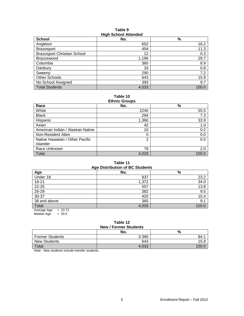### **Table 9 High School Attended**

| <b>School</b>                      | ີ<br>No. | $\frac{9}{6}$ |
|------------------------------------|----------|---------------|
| Angleton                           | 652      | 16.2          |
| <b>Brazosport</b>                  | 454      | 11.3          |
| <b>Brazosport Christian School</b> | 12       | 0.3           |
| <b>Brazoswood</b>                  | 1,196    | 29.7          |
| Columbia                           | 360      | 8.9           |
| Danbury                            | 33       | 0.8           |
| Sweenv                             | 290      | 7.2           |
| Other Schools                      | 643      | 15.9          |
| No School Assigned                 | 393      | 9.7           |
| <b>Total Students</b>              | 4,033    | 100.0         |

**Table 10 Ethnic Groups**

| LUTTIV VIVUPS                    |                |       |  |  |
|----------------------------------|----------------|-------|--|--|
| Race                             | No.            | %     |  |  |
| White                            | 2240           | 55.5  |  |  |
| <b>Black</b>                     | 294            | 7.3   |  |  |
| Hispanic                         | 1,366          | 33.9  |  |  |
| Asian                            | 42             | 1.0   |  |  |
| American Indian / Alaskan Native | 10             | 0.2   |  |  |
| Non-Resident Alien               | 0              | 0.0   |  |  |
| Native Hawaiian / Other Pacific  | $\overline{2}$ | 0.0   |  |  |
| Islander                         |                |       |  |  |
| Race Unknown                     | 79             | 2.0   |  |  |
| Total                            | 4,033          | 100.0 |  |  |

# **Table 11**

| Age                       | <b>Age Distribution of BC Students</b><br>No. | %     |
|---------------------------|-----------------------------------------------|-------|
| Under 18                  | 937                                           | 23.2  |
| $18 - 21$                 | 1,372                                         | 34.0  |
| 22-25                     | 557                                           | 13.8  |
| 26-29                     | 382                                           | 9.5   |
| 30-37                     | 420                                           | 10.4  |
| 38 and above              | 365                                           | 9.1   |
| Total                     | 4,033                                         | 100.0 |
| <b>00.70</b><br>$\Lambda$ |                                               |       |

Average Age = 23.73 Median Age  $= 20.0$ 

# **Table 12**

| <b>New / Former Students</b> |       |       |  |  |
|------------------------------|-------|-------|--|--|
| No.<br>%                     |       |       |  |  |
| <b>Former Students</b>       | 3.390 | 84.   |  |  |
| <b>New Students</b>          | 643   | 15.9  |  |  |
| Total                        | 4.033 | ا 100 |  |  |

Note: New students include transfer students.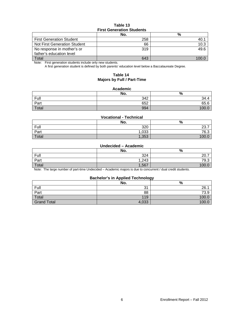### **Table 13 First Generation Students**

|                                 | No. | %    |  |
|---------------------------------|-----|------|--|
| <b>First Generation Student</b> | 258 |      |  |
| Not First Generation Student    | 66  | 10.3 |  |
| No response in mother's or      | 319 | 49.6 |  |
| father's education level        |     |      |  |
| Total                           | 643 |      |  |

Note: First generation students include only new students.

A first generation student is defined by both parents' education level below a Baccalaureate Degree.

### **Table 14 Majors by Full / Part-Time**

### **Academic**

|       | No. | $\mathbf{0}$<br>70 |
|-------|-----|--------------------|
| Full  | 342 | 34.4               |
| Part  | 652 | 65.6               |
| Total | 994 | 10 <sup>o</sup>    |

### **Vocational - Technical**

|       | No.   | %          |
|-------|-------|------------|
| Full  | 320   | 227<br>، ت |
| Part  | ,033  | 76.3       |
| Total | 1,353 | 100.0      |

### **Undecided – Academic**

|       | No.       | %          |
|-------|-----------|------------|
| Full  | 324       | ററ<br>ZU.1 |
| Part  | 1,243     | 79.3       |
| Total | ,567<br>л | 100.0      |

Note: The large number of part-time Undecided – Academic majors is due to concurrent / dual credit students.

### **Bachelor's in Applied Technology**

|                    | No.      | --<br>$\Omega$<br>70 |
|--------------------|----------|----------------------|
| Full               | $\Omega$ | 26.7                 |
| Part               | 88       | 73.9                 |
| Total              | 119      | 100.0                |
| <b>Grand Total</b> | 4,033    | 100.C                |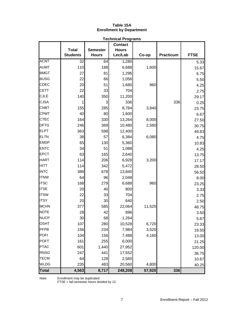### **Table 15A Enrollment by Department**

|              | <b>Technical Programs</b> |                 |                |        |           |             |
|--------------|---------------------------|-----------------|----------------|--------|-----------|-------------|
|              |                           |                 | <b>Contact</b> |        |           |             |
|              | <b>Total</b>              | <b>Semester</b> | <b>Hours</b>   |        |           |             |
|              | <b>Students</b>           | <b>Hours</b>    | Lec/Lab        | Co-op  | Practicum | <b>FTSE</b> |
| <b>ACNT</b>  | 32                        | 64              | 1,280          |        |           | 5.33        |
| <b>AUMT</b>  | 110                       | 188             | 6,688          | 1,600  |           | 15.67       |
| <b>BMGT</b>  | 27                        | 81              | 1,296          |        |           | 6.75        |
| <b>BUSG</b>  | 22                        | 66              | 1,056          |        |           | 5.50        |
| <b>CDEC</b>  | 20                        | 51              | 1,680          | 960    |           | 4.25        |
| <b>CETT</b>  | 22                        | 33              | 704            |        |           | 2.75        |
| <b>CJLE</b>  | 140                       | 350             | 11,200         |        |           | 29.17       |
| <b>CJSA</b>  | 1                         | 3               | 336            |        | 336       | 0.25        |
| <b>CNBT</b>  | 155                       | 285             | 8,784          | 3,840  |           | 23.75       |
| <b>CPMT</b>  | 40                        | 80              | 1,600          |        |           | 6.67        |
| <b>CTEC</b>  | 164                       | 330             | 13,264         | 8,000  |           | 27.50       |
| <b>DFTG</b>  | 246                       | 369             | 10,480         | 2,560  |           | 30.75       |
| <b>ELPT</b>  | 363                       | 598             | 12,400         |        |           | 49.83       |
| <b>ELTN</b>  | 38                        | 57              | 6,384          | 6,080  |           | 4.75        |
| <b>EMSP</b>  | 65                        | 130             | 5,360          |        |           | 10.83       |
| <b>ENTC</b>  | 34                        | 51              | 1,088          |        |           | 4.25        |
| <b>EPCT</b>  | 63                        | 165             | 2,640          |        |           | 13.75       |
| <b>HART</b>  | 114                       | 206             | 6,928          | 3,200  |           | 17.17       |
| <b>HITT</b>  | 114                       | 342             | 5,472          |        |           | 28.50       |
| <b>INTC</b>  | 389                       | 678             | 13,840         |        |           | 56.50       |
| <b>ITNW</b>  | 64                        | 96              | 2,048          |        |           | 8.00        |
| <b>ITSC</b>  | 168                       | 279             | 6,688          | 960    |           | 23.25       |
| <b>ITSE</b>  | 20                        | 40              | 800            |        |           | 3.33        |
| <b>ITSW</b>  | 22                        | 33              | 704            |        |           | 2.75        |
| <b>ITSY</b>  | 20                        | 30              | 640            |        |           | 2.50        |
| <b>MCHN</b>  | 377                       | 585             | 22,064         | 11,520 |           | 48.75       |
| <b>NDTE</b>  | 28                        | 42              | 896            |        |           | 3.50        |
| <b>NUCP</b>  | 30                        | 68              | 1,264          |        |           | 5.67        |
| <b>OSHT</b>  | 107                       | 280             | 10,528         | 6,720  |           | 23.33       |
| PFPB         | 156                       | 234             | 7,984          | 3,520  |           | 19.50       |
| <b>POFI</b>  | 104                       | 156             | 7,488          | 4,160  |           | 13.00       |
| <b>POFT</b>  | 161                       | 255             | 6,000          |        |           | 21.25       |
| <b>PTAC</b>  | 601                       | 1,440           | 27,952         |        |           | 120.00      |
| <b>RNSG</b>  | 247                       | 441             | 17,552         |        |           | 36.75       |
| <b>TECM</b>  | 64                        | 128             | 2,560          |        |           | 10.67       |
| <b>WLDG</b>  | 235                       | 483             | 20,560         | 4,800  |           | 40.25       |
| <b>Total</b> | 4,563                     | 8,717           | 248,208        | 57,920 | 336       |             |

Note: Enrollment may be duplicated.

FTSE = fall semester hours divided by 12.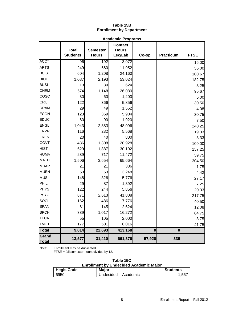## **Table 15B Enrollment by Department**

|                | <b>Academic Programs</b> |                 |                |                         |                         |             |
|----------------|--------------------------|-----------------|----------------|-------------------------|-------------------------|-------------|
|                |                          |                 | <b>Contact</b> |                         |                         |             |
|                | <b>Total</b>             | <b>Semester</b> | <b>Hours</b>   |                         |                         |             |
|                | <b>Students</b>          | <b>Hours</b>    | Lec/Lab        | Co-op                   | <b>Practicum</b>        | <b>FTSE</b> |
| <b>ACCT</b>    | 96                       | 192             | 3,072          |                         |                         | 16.00       |
| <b>ARTS</b>    | 249                      | 660             | 11,952         |                         |                         | 55.00       |
| <b>BCIS</b>    | 604                      | 1,208           | 24,160         |                         |                         | 100.67      |
| <b>BIOL</b>    | 1,087                    | 2,193           | 53,024         |                         |                         | 182.75      |
| <b>BUSI</b>    | 13                       | 39              | 624            |                         |                         | 3.25        |
| <b>CHEM</b>    | 574                      | 1,148           | 26,080         |                         |                         | 95.67       |
| cosc           | 30                       | 60              | 1,200          |                         |                         | 5.00        |
| CRIJ           | 122                      | 366             | 5,856          |                         |                         | 30.50       |
| <b>DRAM</b>    | 29                       | 49              | 1,552          |                         |                         | 4.08        |
| <b>ECON</b>    | 123                      | 369             | 5,904          |                         |                         | 30.75       |
| <b>EDUC</b>    | 60                       | 90              | 1,920          |                         |                         | 7.50        |
| <b>ENGL</b>    | 1,043                    | 2,883           | 48,096         |                         |                         | 240.25      |
| <b>ENVR</b>    | 116                      | 232             | 5,568          |                         |                         | 19.33       |
| FREN           | 20                       | 40              | 800            |                         |                         | 3.33        |
| GOVT           | 436                      | 1,308           | 20,928         |                         |                         | 109.00      |
| <b>HIST</b>    | 629                      | 1,887           | 30,192         |                         |                         | 157.25      |
| <b>HUMA</b>    | 239                      | 717             | 11,472         |                         |                         | 59.75       |
| <b>MATH</b>    | 1,506                    | 3,654           | 65,664         |                         |                         | 304.50      |
| <b>MUAP</b>    | 21                       | 21              | 336            |                         |                         | 1.75        |
| <b>MUEN</b>    | 53                       | 53              | 3,248          |                         |                         | 4.42        |
| <b>MUSI</b>    | 148                      | 326             | 5,776          |                         |                         | 27.17       |
| PHIL           | 29                       | 87              | 1,392          |                         |                         | 7.25        |
| <b>PHYS</b>    | 122                      | 244             | 5,856          |                         |                         | 20.33       |
| <b>PSYC</b>    | 871                      | 2,613           | 41,808         |                         |                         | 217.75      |
| SOCI           | 162                      | 486             | 7,776          |                         |                         | 40.50       |
| <b>SPAN</b>    | 61                       | 145             | 2,624          |                         |                         | 12.08       |
| <b>SPCH</b>    | 339                      | 1,017           | 16,272         |                         |                         | 84.75       |
| <b>TECA</b>    | 55                       | 105             | 2,000          |                         |                         | 8.75        |
| <b>TMGT</b>    | 177                      | 501             | 8,016          |                         |                         | 41.75       |
| <b>Total</b>   | 9,014                    | 22,693          | 413,168        | $\overline{\mathbf{0}}$ | $\overline{\mathbf{0}}$ |             |
| Grand<br>Total | 13,577                   | 31,410          | 661,376        | 57,920                  | 336                     |             |

Note: Enrollment may be duplicated.

FTSE = fall semester hours divided by 12.

| Table 15C |  |
|-----------|--|
|-----------|--|

| <b>Hegis Code</b> | <b>Major</b>         | <b>Students</b> |
|-------------------|----------------------|-----------------|
| 6950              | Undecided – Academic | .567            |